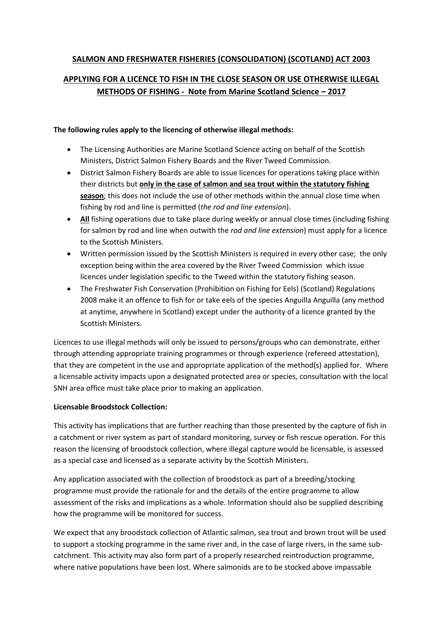# **SALMON AND FRESHWATER FISHERIES (CONSOLIDATION) (SCOTLAND) ACT 2003**

# **APPLYING FOR A LICENCE TO FISH IN THE CLOSE SEASON OR USE OTHERWISE ILLEGAL METHODS OF FISHING - Note from Marine Scotland Science – 2017**

#### **The following rules apply to the licencing of otherwise illegal methods:**

- The Licensing Authorities are Marine Scotland Science acting on behalf of the Scottish Ministers, District Salmon Fishery Boards and the River Tweed Commission.
- District Salmon Fishery Boards are able to issue licences for operations taking place within their districts but **only in the case of salmon and sea trout within the statutory fishing season**; this does not include the use of other methods within the annual close time when fishing by rod and line is permitted (*the rod and line extension*).
- **All** fishing operations due to take place during weekly or annual close times (including fishing for salmon by rod and line when outwith the *rod and line extension*) must apply for a licence to the Scottish Ministers.
- Written permission issued by the Scottish Ministers is required in every other case; the only exception being within the area covered by the River Tweed Commission which issue licences under legislation specific to the Tweed within the statutory fishing season.
- The Freshwater Fish Conservation (Prohibition on Fishing for Eels) (Scotland) Regulations 2008 make it an offence to fish for or take eels of the species Anguilla Anguilla (any method at anytime, anywhere in Scotland) except under the authority of a licence granted by the Scottish Ministers.

Licences to use illegal methods will only be issued to persons/groups who can demonstrate, either through attending appropriate training programmes or through experience (refereed attestation), that they are competent in the use and appropriate application of the method(s) applied for. Where a licensable activity impacts upon a designated protected area or species, consultation with the local SNH area office must take place prior to making an application.

## **Licensable Broodstock Collection:**

This activity has implications that are further reaching than those presented by the capture of fish in a catchment or river system as part of standard monitoring, survey or fish rescue operation. For this reason the licensing of broodstock collection, where illegal capture would be licensable, is assessed as a special case and licensed as a separate activity by the Scottish Ministers.

Any application associated with the collection of broodstock as part of a breeding/stocking programme must provide the rationale for and the details of the entire programme to allow assessment of the risks and implications as a whole. Information should also be supplied describing how the programme will be monitored for success.

We expect that any broodstock collection of Atlantic salmon, sea trout and brown trout will be used to support a stocking programme in the same river and, in the case of large rivers, in the same subcatchment. This activity may also form part of a properly researched reintroduction programme, where native populations have been lost. Where salmonids are to be stocked above impassable